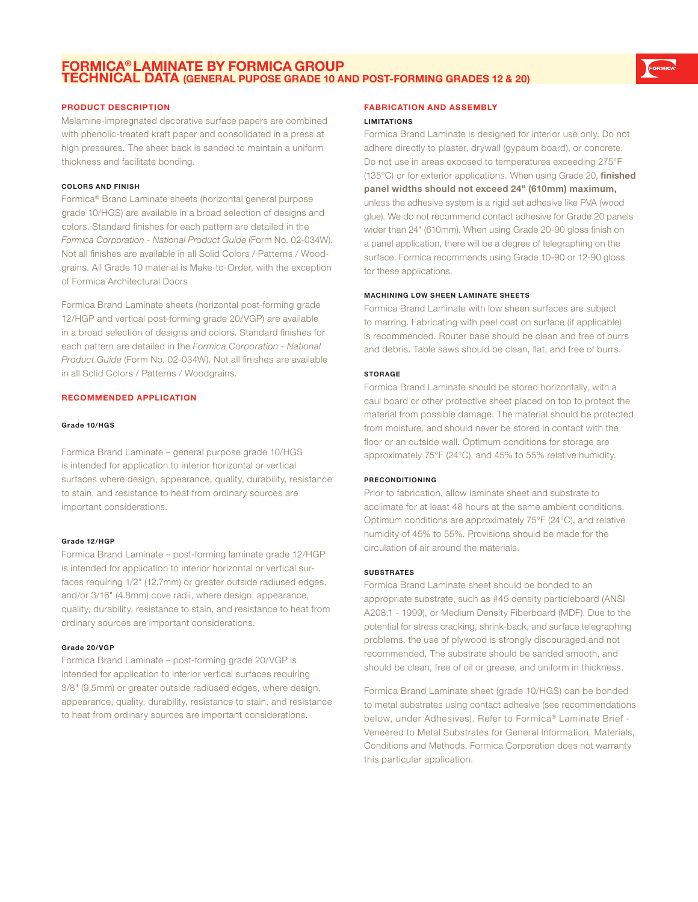# **FORMICA® LAMINATE BY FORMICA GROUP TECHNICAL DATA (GENERAL PUPOSE GRADE 10 AND POST-FORMING GRADES 12 & 20)**

# **PRODUCT DESCRIPTION**

Melamine-impregnated decorative surface papers are combined with phenolic-treated kraft paper and consolidated in a press at high pressures. The sheet back is sanded to maintain a uniform thickness and facilitate bonding.

#### **COLORS AND FINISH**

Formica® Brand Laminate sheets (horizontal general purpose grade 10/HGS) are available in a broad selection of designs and colors. Standard finishes for each pattern are detailed in the *Formica Corporation - National Product Guide* (Form No. 02-034W). Not all finishes are available in all Solid Colors / Patterns / Woodgrains. All Grade 10 material is Make-to-Order, with the exception of Formica Architectural Doors

Formica Brand Laminate sheets (horizontal post-forming grade 12/HGP and vertical post-forming grade 20/VGP) are available in a broad selection of designs and colors. Standard finishes for each pattern are detailed in the *Formica Corporation - National Product Guide* (Form No. 02-034W). Not all finishes are available in all Solid Colors / Patterns / Woodgrains.

# **RECOMMENDED APPLICATION**

# **Grade 10/HGS**

Formica Brand Laminate – general purpose grade 10/HGS is intended for application to interior horizontal or vertical surfaces where design, appearance, quality, durability, resistance to stain, and resistance to heat from ordinary sources are important considerations.

#### **Grade 12/HGP**

Formica Brand Laminate – post-forming laminate grade 12/HGP is intended for application to interior horizontal or vertical surfaces requiring 1/2" (12.7mm) or greater outside radiused edges, and/or 3/16" (4.8mm) cove radii, where design, appearance, quality, durability, resistance to stain, and resistance to heat from ordinary sources are important considerations.

#### **Grade 20/VGP**

Formica Brand Laminate – post-forming grade 20/VGP is intended for application to interior vertical surfaces requiring 3/8" (9.5mm) or greater outside radiused edges, where design, appearance, quality, durability, resistance to stain, and resistance to heat from ordinary sources are important considerations.

#### **FABRICATION AND ASSEMBLY**

#### **LIMITATIONS**

Formica Brand Laminate is designed for interior use only. Do not adhere directly to plaster, drywall (gypsum board), or concrete. Do not use in areas exposed to temperatures exceeding 275°F (135°C) or for exterior applications. When using Grade 20, **finished panel widths should not exceed 24" (610mm) maximum,** unless the adhesive system is a rigid set adhesive like PVA (wood glue). We do not recommend contact adhesive for Grade 20 panels wider than 24" (610mm). When using Grade 20-90 gloss finish on a panel application, there will be a degree of telegraphing on the surface. Formica recommends using Grade 10-90 or 12-90 gloss for these applications.

#### **MACHINING LOW SHEEN LAMINATE SHEETS**

Formica Brand Laminate with low sheen surfaces are subject to marring. Fabricating with peel coat on surface (if applicable) is recommended. Router base should be clean and free of burrs and debris. Table saws should be clean, flat, and free of burrs.

### **STORAGE**

Formica Brand Laminate should be stored horizontally, with a caul board or other protective sheet placed on top to protect the material from possible damage. The material should be protected from moisture, and should never be stored in contact with the floor or an outside wall. Optimum conditions for storage are approximately 75°F (24°C), and 45% to 55% relative humidity.

### **PRECONDITIONING**

Prior to fabrication, allow laminate sheet and substrate to acclimate for at least 48 hours at the same ambient conditions. Optimum conditions are approximately 75°F (24°C), and relative humidity of 45% to 55%. Provisions should be made for the circulation of air around the materials.

#### **SUBSTRATES**

Formica Brand Laminate sheet should be bonded to an appropriate substrate, such as #45 density particleboard (ANSI A208.1 - 1999), or Medium Density Fiberboard (MDF). Due to the potential for stress cracking, shrink-back, and surface telegraphing problems, the use of plywood is strongly discouraged and not recommended. The substrate should be sanded smooth, and should be clean, free of oil or grease, and uniform in thickness.

Formica Brand Laminate sheet (grade 10/HGS) can be bonded to metal substrates using contact adhesive (see recommendations below, under Adhesives). Refer to Formica® Laminate Brief *-*  Veneered to Metal Substrates for General Information, Materials, Conditions and Methods. Formica Corporation does not warranty this particular application.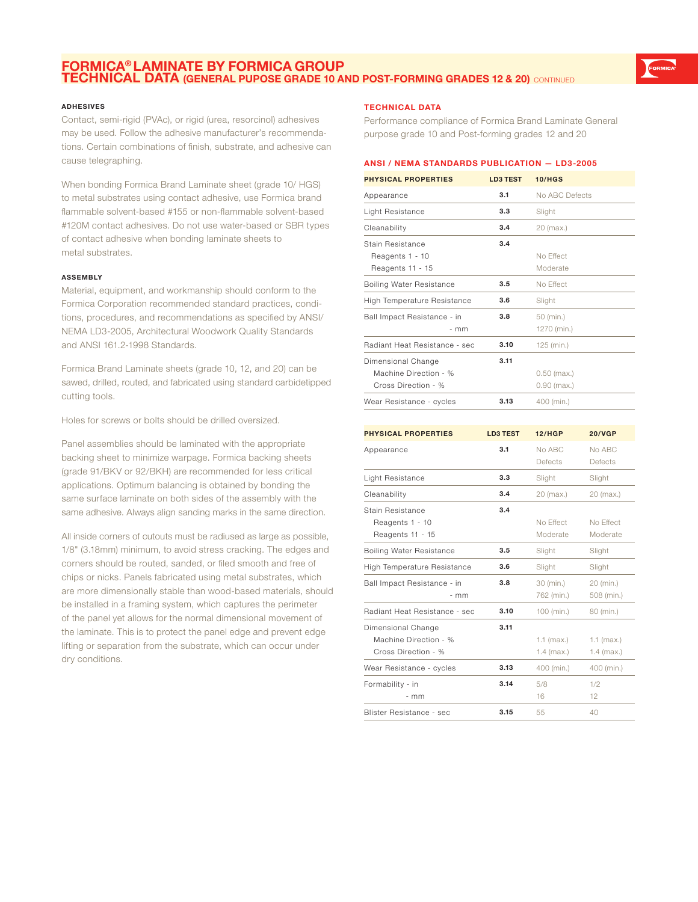# **FORMICA® LAMINATE BY FORMICA GROUP TECHNICAL DATA (GENERAL PUPOSE GRADE 10 AND POST-FORMING GRADES 12 & 20)** CONTINUED

## **ADHESIVES**

Contact, semi-rigid (PVAc), or rigid (urea, resorcinol) adhesives may be used. Follow the adhesive manufacturer's recommendations. Certain combinations of finish, substrate, and adhesive can cause telegraphing.

When bonding Formica Brand Laminate sheet (grade 10/ HGS) to metal substrates using contact adhesive, use Formica brand flammable solvent-based #155 or non-flammable solvent-based #120M contact adhesives. Do not use water-based or SBR types of contact adhesive when bonding laminate sheets to metal substrates.

#### **ASSEMBLY**

Material, equipment, and workmanship should conform to the Formica Corporation recommended standard practices, conditions, procedures, and recommendations as specified by ANSI/ NEMA LD3-2005, Architectural Woodwork Quality Standards and ANSI 161.2-1998 Standards.

Formica Brand Laminate sheets (grade 10, 12, and 20) can be sawed, drilled, routed, and fabricated using standard carbidetipped cutting tools.

Holes for screws or bolts should be drilled oversized.

Panel assemblies should be laminated with the appropriate backing sheet to minimize warpage. Formica backing sheets (grade 91/BKV or 92/BKH) are recommended for less critical applications. Optimum balancing is obtained by bonding the same surface laminate on both sides of the assembly with the same adhesive. Always align sanding marks in the same direction.

All inside corners of cutouts must be radiused as large as possible, 1/8" (3.18mm) minimum, to avoid stress cracking. The edges and corners should be routed, sanded, or filed smooth and free of chips or nicks. Panels fabricated using metal substrates, which are more dimensionally stable than wood-based materials, should be installed in a framing system, which captures the perimeter of the panel yet allows for the normal dimensional movement of the laminate. This is to protect the panel edge and prevent edge lifting or separation from the substrate, which can occur under dry conditions.

# **TECHNICAL DATA**

Formability - in

- mm

Performance compliance of Formica Brand Laminate General purpose grade 10 and Post-forming grades 12 and 20

# **ANSI / NEMA STANDARDS PUBLICATION — LD3-2005**

| <b>PHYSICAL PROPERTIES</b>                                         | <b>LD3 TEST</b> | <b>10/HGS</b>                  |                          |
|--------------------------------------------------------------------|-----------------|--------------------------------|--------------------------|
| Appearance                                                         | 3.1             | No ABC Defects                 |                          |
| Light Resistance                                                   | 3.3             | Slight                         |                          |
| Cleanability                                                       | 3.4             | 20 (max.)                      |                          |
| <b>Stain Resistance</b><br>Reagents 1 - 10<br>Reagents 11 - 15     | 3.4             | No Effect<br>Moderate          |                          |
| Boiling Water Resistance                                           | 3.5             | No Effect                      |                          |
| High Temperature Resistance                                        | 3.6             | Slight                         |                          |
| Ball Impact Resistance - in<br>- mm                                | 3.8             | 50 (min.)<br>1270 (min.)       |                          |
| Radiant Heat Resistance - sec                                      | 3.10            | 125 (min.)                     |                          |
| Dimensional Change<br>Machine Direction - %<br>Cross Direction - % | 3.11            | $0.50$ (max.)<br>$0.90$ (max.) |                          |
| Wear Resistance - cycles                                           | 3.13            | 400 (min.)                     |                          |
|                                                                    |                 |                                |                          |
| <b>PHYSICAL PROPERTIES</b>                                         | <b>LD3 TEST</b> | <b>12/HGP</b>                  | <b>20/VGP</b>            |
| Appearance                                                         | 3.1             | No ABC<br>Defects              | No ABC<br>Defects        |
| Light Resistance                                                   | 3.3             | Slight                         | Slight                   |
| Cleanability                                                       | 3.4             | 20 (max.)                      | 20 (max.)                |
| Stain Resistance<br>Reagents 1 - 10<br>Reagents 11 - 15            | 3.4             | No Effect<br>Moderate          | No Effect<br>Moderate    |
| <b>Boiling Water Resistance</b>                                    | 3.5             | Slight                         | Slight                   |
| <b>High Temperature Resistance</b>                                 | 3.6             | Slight                         | Slight                   |
| Ball Impact Resistance - in<br>- mm                                | 3.8             | 30 (min.)<br>762 (min.)        | 20 (min.)<br>508 (min.)  |
| Radiant Heat Resistance - sec                                      | 3.10            | 100 (min.)                     | 80 (min.)                |
| Dimensional Change<br>Machine Direction - %<br>Cross Direction - % | 3.11            | $1.1$ (max.)<br>1.4 (max.)     | 1.1 (max.)<br>1.4 (max.) |
| Wear Resistance - cycles                                           | 3.13            | 400 (min.)                     | 400 (min.)               |

**3.14** 5/8 16

**Blister Resistance - sec <b>3.15** 55 40

1/2 12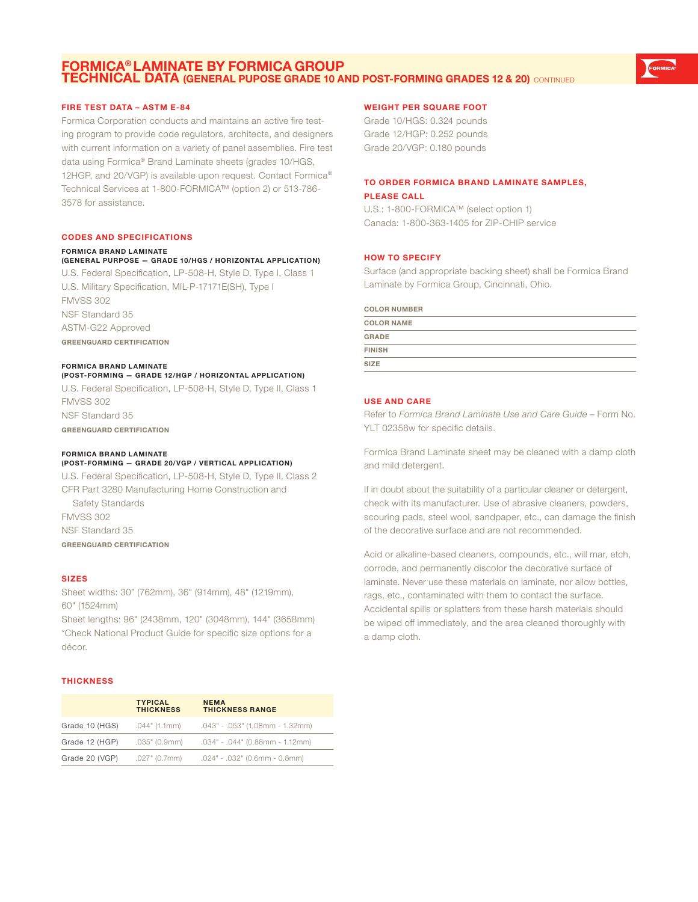# **FORMICA® LAMINATE BY FORMICA GROUP TECHNICAL DATA (GENERAL PUPOSE GRADE 10 AND POST-FORMING GRADES 12 & 20)** CONTINUED

# **FIRE TEST DATA – ASTM E-84**

Formica Corporation conducts and maintains an active fire testing program to provide code regulators, architects, and designers with current information on a variety of panel assemblies. Fire test data using Formica® Brand Laminate sheets (grades 10/HGS, 12HGP, and 20/VGP) is available upon request. Contact Formica® Technical Services at 1-800-FORMICA™ (option 2) or 513-786- 3578 for assistance.

#### **CODES AND SPECIFICATIONS**

#### **FORMICA BRAND LAMINATE**

#### **(GENERAL PURPOSE — GRADE 10/HGS / HORIZONTAL APPLICATION)**

U.S. Federal Specification, LP-508-H, Style D, Type I, Class 1 U.S. Military Specification, MIL-P-17171E(SH), Type I FMVSS 302 NSF Standard 35 ASTM-G22 Approved **GREENGUARD CERTIFICATION**

#### **FORMICA BRAND LAMINATE**

**(POST-FORMING — GRADE 12/HGP / HORIZONTAL APPLICATION)** U.S. Federal Specification, LP-508-H, Style D, Type II, Class 1 FMVSS 302 NSF Standard 35 **GREENGUARD CERTIFICATION**

#### **FORMICA BRAND LAMINATE**

# **(POST-FORMING — GRADE 20/VGP / VERTICAL APPLICATION)** U.S. Federal Specification, LP-508-H, Style D, Type II, Class 2 CFR Part 3280 Manufacturing Home Construction and Safety Standards FMVSS 302

NSF Standard 35 **GREENGUARD CERTIFICATION**

#### **SIZES**

Sheet widths: 30" (762mm), 36" (914mm), 48" (1219mm), 60" (1524mm)

Sheet lengths: 96" (2438mm, 120" (3048mm), 144" (3658mm) \*Check National Product Guide for specific size options for a décor.

#### **THICKNESS**

|                | <b>TYPICAL</b><br><b>THICKNESS</b> | <b>NEMA</b><br><b>THICKNESS RANGE</b>               |
|----------------|------------------------------------|-----------------------------------------------------|
| Grade 10 (HGS) | .044" (1.1mm)                      | .043" - .053" (1.08mm - 1.32mm)                     |
| Grade 12 (HGP) |                                    | $.035$ " (0.9mm) $.034$ " - .044" (0.88mm - 1.12mm) |
| Grade 20 (VGP) | .027" (0.7mm)                      | $.024$ " - $.032$ " (0.6mm - 0.8mm)                 |

# **WEIGHT PER SQUARE FOOT**

Grade 10/HGS: 0.324 pounds Grade 12/HGP: 0.252 pounds Grade 20/VGP: 0.180 pounds

# **TO ORDER FORMICA BRAND LAMINATE SAMPLES, PLEASE CALL**

U.S.: 1-800-FORMICA™ (select option 1) Canada: 1-800-363-1405 for ZIP-CHIP service

# **HOW TO SPECIFY**

Surface (and appropriate backing sheet) shall be Formica Brand Laminate by Formica Group, Cincinnati, Ohio.

#### **COLOR NUMBER**

| <b>COLOR NAME</b> |  |
|-------------------|--|
| <b>GRADE</b>      |  |
| <b>FINISH</b>     |  |
| <b>SIZE</b>       |  |

# **USE AND CARE**

Refer to *Formica Brand Laminate Use and Care Guide* – Form No. YLT 02358w for specific details.

Formica Brand Laminate sheet may be cleaned with a damp cloth and mild detergent.

If in doubt about the suitability of a particular cleaner or detergent, check with its manufacturer. Use of abrasive cleaners, powders, scouring pads, steel wool, sandpaper, etc., can damage the finish of the decorative surface and are not recommended.

Acid or alkaline-based cleaners, compounds, etc., will mar, etch, corrode, and permanently discolor the decorative surface of laminate. Never use these materials on laminate, nor allow bottles, rags, etc., contaminated with them to contact the surface. Accidental spills or splatters from these harsh materials should be wiped off immediately, and the area cleaned thoroughly with a damp cloth.